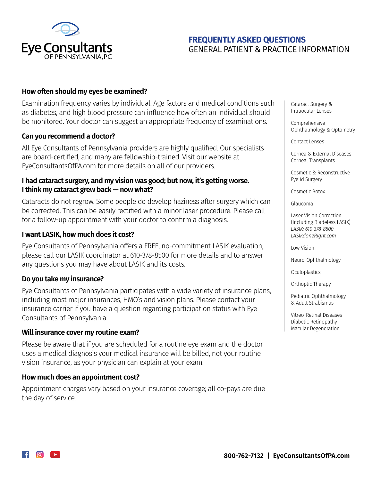

# **FREQUENTLY ASKED QUESTIONS** GENERAL PATIENT & PRACTICE INFORMATION

## **How often should my eyes be examined?**

Examination frequency varies by individual. Age factors and medical conditions such as diabetes, and high blood pressure can influence how often an individual should be monitored. Your doctor can suggest an appropriate frequency of examinations.

### **Can you recommend a doctor?**

All Eye Consultants of Pennsylvania providers are highly qualified. Our specialists are board-certified, and many are fellowship-trained. Visit our website at EyeConsultantsOfPA.com for more details on all of our providers.

## **I had cataract surgery, and my vision was good; but now, it's getting worse. I think my cataract grew back — now what?**

Cataracts do not regrow. Some people do develop haziness after surgery which can be corrected. This can be easily rectified with a minor laser procedure. Please call for a follow-up appointment with your doctor to confirm a diagnosis.

### **I want LASIK, how much does it cost?**

Eye Consultants of Pennsylvania offers a FREE, no-commitment LASIK evaluation, please call our LASIK coordinator at 610-378-8500 for more details and to answer any questions you may have about LASIK and its costs.

### **Do you take my insurance?**

Eye Consultants of Pennsylvania participates with a wide variety of insurance plans, including most major insurances, HMO's and vision plans. Please contact your insurance carrier if you have a question regarding participation status with Eye Consultants of Pennsylvania.

### **Will insurance cover my routine exam?**

Please be aware that if you are scheduled for a routine eye exam and the doctor uses a medical diagnosis your medical insurance will be billed, not your routine vision insurance, as your physician can explain at your exam.

### **How much does an appointment cost?**

Appointment charges vary based on your insurance coverage; all co-pays are due the day of service.

Cataract Surgery & Intraocular Lenses

Comprehensive Ophthalmology & Optometry

Contact Lenses

Cornea & External Diseases Corneal Transplants

Cosmetic & Reconstructive Eyelid Surgery

Cosmetic Botox

Glaucoma

Laser Vision Correction (Including Bladeless LASIK) *LASIK: 610-378-8500 LASIKdoneRight.com* 

Low Vision

Neuro-Ophthalmology

**Oculoplastics** 

Orthoptic Therapy

Pediatric Ophthalmology & Adult Strabismus

Vitreo-Retinal Diseases Diabetic Retinopathy Macular Degeneration